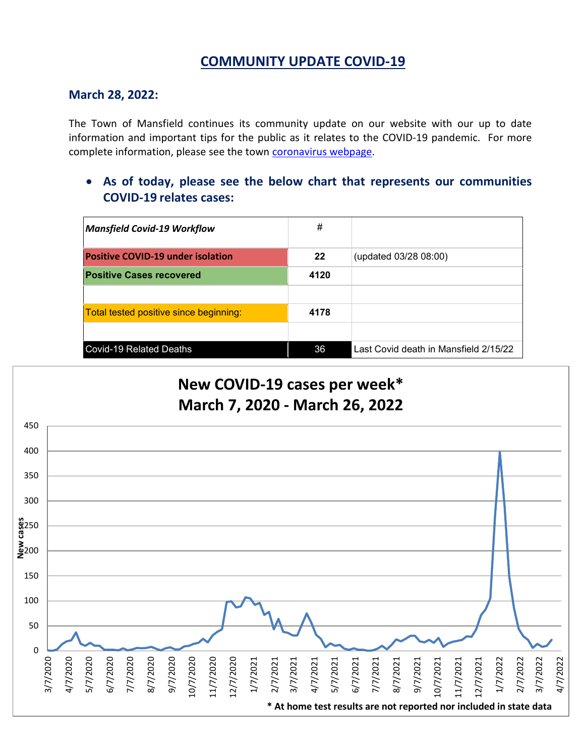# **COMMUNITY UPDATE COVID-19**

#### **March 28, 2022:**

The Town of Mansfield continues its community update on our website with our up to date information and important tips for the public as it relates to the COVID-19 pandemic. For more complete information, please see the town [coronavirus webpage.](https://www.mansfieldma.com/536/Coronavirus-Information)

• **As of today, please see the below chart that represents our communities COVID-19 relates cases:**

| <b>Mansfield Covid-19 Workflow</b>       | #    |                                       |
|------------------------------------------|------|---------------------------------------|
| <b>Positive COVID-19 under isolation</b> | 22   | (updated 03/28 08:00)                 |
| <b>Positive Cases recovered</b>          | 4120 |                                       |
|                                          |      |                                       |
| Total tested positive since beginning:   | 4178 |                                       |
|                                          |      |                                       |
| <b>Covid-19 Related Deaths</b>           | 36   | Last Covid death in Mansfield 2/15/22 |

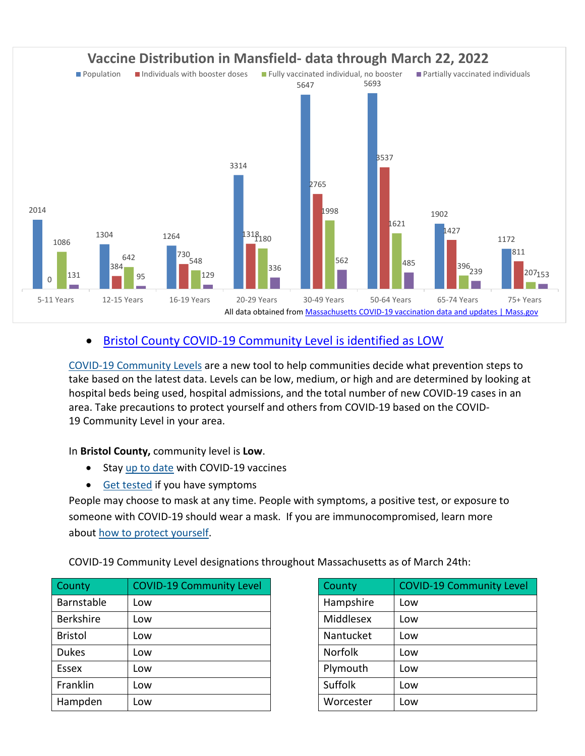

# • [Bristol County COVID-19 Community Level is identified as LOW](https://www.cdc.gov/coronavirus/2019-ncov/your-health/covid-by-county.html?ACSTrackingID=USCDC_2145-DM76655&ACSTrackingLabel=02.25.2022%20-%20COVID-19%20Data%20Tracker%20Weekly%20Review&deliveryName=USCDC_2145-DM76655)

[COVID-19 Community Levels](https://www.cdc.gov/coronavirus/2019-ncov/science/community-levels.html) are a new tool to help communities decide what prevention steps to take based on the latest data. Levels can be low, medium, or high and are determined by looking at hospital beds being used, hospital admissions, and the total number of new COVID-19 cases in an area. Take precautions to protect yourself and others from COVID-19 based on the COVID-19 Community Level in your area.

In **Bristol County,** community level is **Low**.

- Stay [up to date](https://www.cdc.gov/coronavirus/2019-ncov/vaccines/stay-up-to-date.html) with COVID-19 vaccines
- [Get tested](https://www.cdc.gov/coronavirus/2019-ncov/testing/diagnostic-testing.html) if you have symptoms

People may choose to mask at any time. People with symptoms, a positive test, or exposure to someone with COVID-19 should wear a mask. If you are immunocompromised, learn more about [how to protect yourself.](https://www.cdc.gov/coronavirus/2019-ncov/science/community-levels.html#anchor_47145)

COVID-19 Community Level designations throughout Massachusetts as of March 24th:

| County           | <b>COVID-19 Community Level</b> | County         | <b>COVID-19 Community Level</b> |
|------------------|---------------------------------|----------------|---------------------------------|
| Barnstable       | Low                             | Hampshire      | Low                             |
| <b>Berkshire</b> | Low                             | Middlesex      | Low                             |
| <b>Bristol</b>   | Low                             | Nantucket      | Low                             |
| <b>Dukes</b>     | Low                             | <b>Norfolk</b> | Low                             |
| <b>Essex</b>     | Low                             | Plymouth       | Low                             |
| Franklin         | Low                             | Suffolk        | Low                             |
| Hampden          | Low                             | Worcester      | Low                             |

| County         | <b>COVID-19 Community Level</b> |
|----------------|---------------------------------|
| Hampshire      | Low                             |
| Middlesex      | Low                             |
| Nantucket      | Low                             |
| <b>Norfolk</b> | Low                             |
| Plymouth       | Low                             |
| Suffolk        | Low                             |
| Worcester      | Low                             |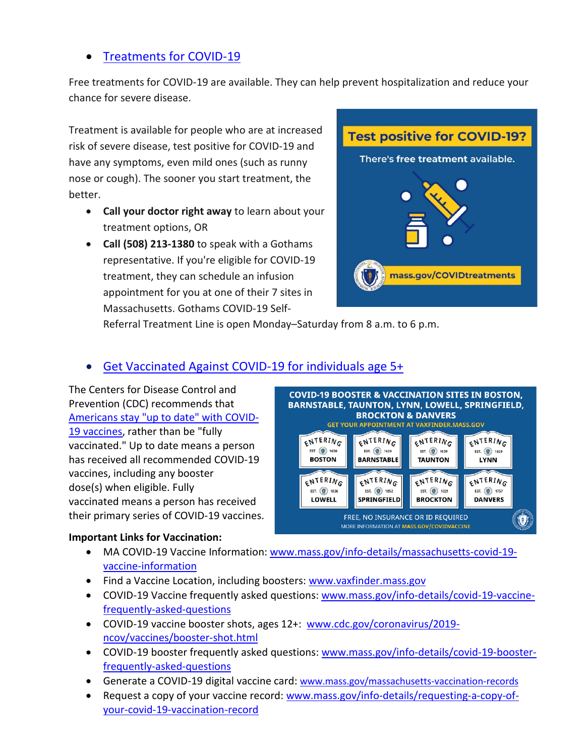## • [Treatments for COVID-19](https://www.mass.gov/info-details/treatments-for-covid-19)

Free treatments for COVID-19 are available. They can help prevent hospitalization and reduce your chance for severe disease.

Treatment is available for people who are at increased risk of severe disease, test positive for COVID-19 and have any symptoms, even mild ones (such as runny nose or cough). The sooner you start treatment, the better.

- **Call your doctor right away** to learn about your treatment options, OR
- **Call (508) 213-1380** to speak with a Gothams representative. If you're eligible for COVID-19 treatment, they can schedule an infusion appointment for you at one of their 7 sites in Massachusetts. Gothams COVID-19 Self-



Referral Treatment Line is open Monday–Saturday from 8 a.m. to 6 p.m.

## • [Get Vaccinated Against COVID-19](https://www.mass.gov/covid-19-vaccine) for individuals age 5+

The Centers for Disease Control and Prevention (CDC) recommends tha[t](https://www.cdc.gov/coronavirus/2019-ncov/vaccines/stay-up-to-date.html) [Americans stay "up to date" with COVID-](https://www.cdc.gov/coronavirus/2019-ncov/vaccines/stay-up-to-date.html)[19 vaccines,](https://www.cdc.gov/coronavirus/2019-ncov/vaccines/stay-up-to-date.html) rather than be "fully vaccinated." Up to date means a person has received all recommended COVID-19 vaccines, including any booster dose(s) when eligible. Fully vaccinated means a person has received their primary series of COVID-19 vaccines.

#### **Important Links for Vaccination:**



- MA COVID-19 Vaccine Information: [www.mass.gov/info-details/massachusetts-covid-19](http://www.mass.gov/info-details/massachusetts-covid-19-vaccine-information) [vaccine-information](http://www.mass.gov/info-details/massachusetts-covid-19-vaccine-information)
- Find a Vaccine Location, including boosters: [www.vaxfinder.mass.gov](http://www.vaxfinder.mass.gov/)
- COVID-19 Vaccine frequently asked questions: [www.mass.gov/info-details/covid-19-vaccine](http://www.mass.gov/info-details/covid-19-vaccine-frequently-asked-questions)[frequently-asked-questions](http://www.mass.gov/info-details/covid-19-vaccine-frequently-asked-questions)
- COVID-19 vaccine booster shots, ages 12+: [www.cdc.gov/coronavirus/2019](http://www.cdc.gov/coronavirus/2019-ncov/vaccines/booster-shot.html) [ncov/vaccines/booster-shot.html](http://www.cdc.gov/coronavirus/2019-ncov/vaccines/booster-shot.html)
- COVID-19 booster frequently asked questions: [www.mass.gov/info-details/covid-19-booster](http://www.mass.gov/info-details/covid-19-booster-frequently-asked-questions)[frequently-asked-questions](http://www.mass.gov/info-details/covid-19-booster-frequently-asked-questions)
- Generate a COVID-19 digital vaccine card: [www.mass.gov/massachusetts-vaccination-records](http://www.mass.gov/massachusetts-vaccination-records)
- Request a copy of your vaccine record: [www.mass.gov/info-details/requesting-a-copy-of](http://www.mass.gov/info-details/requesting-a-copy-of-your-covid-19-vaccination-record)[your-covid-19-vaccination-record](http://www.mass.gov/info-details/requesting-a-copy-of-your-covid-19-vaccination-record)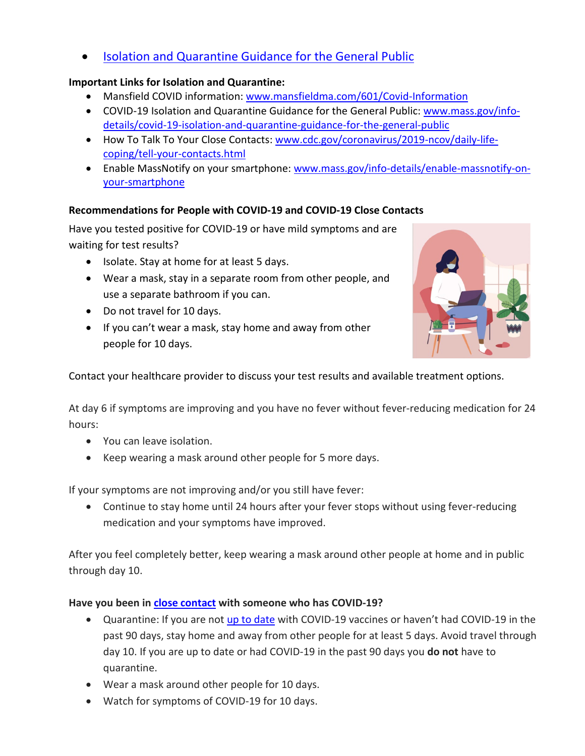• [Isolation and Quarantine Guidance for the General Public](https://www.mass.gov/info-details/isolation-and-quarantine-guidance-for-the-general-public)

### **Important Links for Isolation and Quarantine:**

- Mansfield COVID information: [www.mansfieldma.com/601/Covid-Information](http://www.mansfieldma.com/601/Covid-Information)
- COVID-19 Isolation and Quarantine Guidance for the General Public: [www.mass.gov/info](http://www.mass.gov/info-details/covid-19-isolation-and-quarantine-guidance-for-the-general-public)[details/covid-19-isolation-and-quarantine-guidance-for-the-general-public](http://www.mass.gov/info-details/covid-19-isolation-and-quarantine-guidance-for-the-general-public)
- How To Talk To Your Close Contacts: [www.cdc.gov/coronavirus/2019-ncov/daily-life](http://www.cdc.gov/coronavirus/2019-ncov/daily-life-coping/tell-your-contacts.html)[coping/tell-your-contacts.html](http://www.cdc.gov/coronavirus/2019-ncov/daily-life-coping/tell-your-contacts.html)
- Enable MassNotify on your smartphone: [www.mass.gov/info-details/enable-massnotify-on](http://www.mass.gov/info-details/enable-massnotify-on-your-smartphone)[your-smartphone](http://www.mass.gov/info-details/enable-massnotify-on-your-smartphone)

### **Recommendations for People with COVID-19 and COVID-19 Close Contacts**

Have you tested positive for COVID-19 or have mild symptoms and are waiting for test results?

- Isolate. Stay at home for at least 5 days.
- Wear a mask, stay in a separate room from other people, and use a separate bathroom if you can.
- Do not travel for 10 days.
- If you can't wear a mask, stay home and away from other people for 10 days.



Contact your healthcare provider to discuss your test results and available treatment options.

At day 6 if symptoms are improving and you have no fever without fever-reducing medication for 24 hours:

- You can leave isolation.
- Keep wearing a mask around other people for 5 more days.

If your symptoms are not improving and/or you still have fever:

• Continue to stay home until 24 hours after your fever stops without using fever-reducing medication and your symptoms have improved.

After you feel completely better, keep wearing a mask around other people at home and in public through day 10.

#### **Have you been in [close contact](https://protect-us.mimecast.com/s/pdwZCYErDnHZZn5HQfio0?domain=t.emailupdates.cdc.gov) with someone who has COVID-19?**

- Quarantine: If you are not [up to date](https://protect-us.mimecast.com/s/XvSsCZ6vEohRRkzTRm4ep?domain=t.emailupdates.cdc.gov) with COVID-19 vaccines or haven't had COVID-19 in the past 90 days, stay home and away from other people for at least 5 days. Avoid travel through day 10. If you are up to date or had COVID-19 in the past 90 days you **do not** have to quarantine.
- Wear a mask around other people for 10 days.
- Watch for symptoms of COVID-19 for 10 days.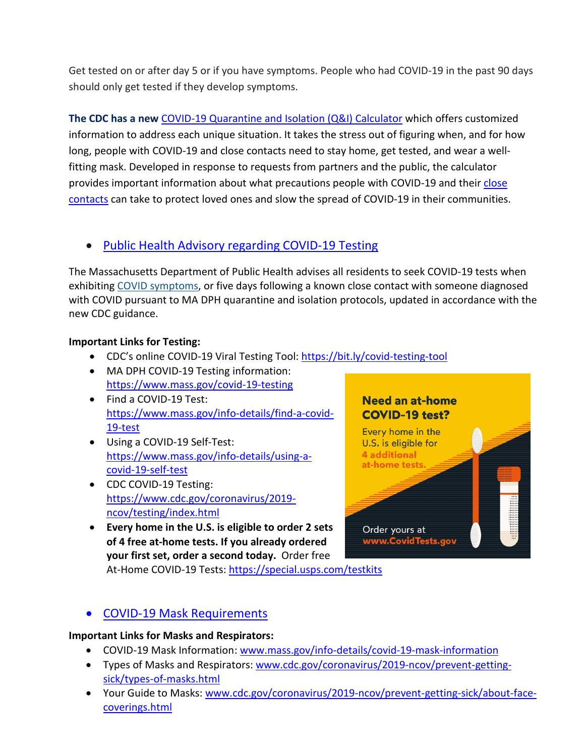Get tested on or after day 5 or if you have symptoms. People who had COVID-19 in the past 90 days should only get tested if they develop symptoms.

**The CDC has a new** [COVID-19 Quarantine and Isolation \(Q&I\) Calculator](https://protect-us.mimecast.com/s/ITAHCW6pAlhYKkOfnm4Tg?domain=cdc.gov) which offers customized information to address each unique situation. It takes the stress out of figuring when, and for how long, people with COVID-19 and close contacts need to stay home, get tested, and wear a wellfitting mask. Developed in response to requests from partners and the public, the calculator provides important information about what precautions people with COVID-19 and their close [contacts](https://protect-us.mimecast.com/s/leLqCXDqB0uNRJ2Tm_mBb?domain=cdc.gov) can take to protect loved ones and slow the spread of COVID-19 in their communities.

### • [Public Health Advisory regarding COVID-19 Testing](https://www.mass.gov/advisory/public-health-advisory-regarding-covid-19-testing)

The Massachusetts Department of Public Health advises all residents to seek COVID-19 tests when exhibiting [COVID symptoms,](https://www.mass.gov/info-details/about-covid-19#symptoms-) or five days following a known close contact with someone diagnosed with COVID pursuant to MA DPH quarantine and isolation protocols, updated in accordance with the new CDC guidance.

#### **Important Links for Testing:**

- CDC's online COVID-19 Viral Testing Tool: [https://bit.ly/covid-testing-tool](https://bit.ly/covid-testing-tool?fbclid=IwAR2ddn7qeVY_b_v0O-rkK3en8x-EPMGTVlQDDSNZxwhZrjtH_hTNHEzYKP8)
- MA DPH COVID-19 Testing information: <https://www.mass.gov/covid-19-testing>
- Find a COVID-19 Test: [https://www.mass.gov/info-details/find-a-covid-](https://www.mass.gov/info-details/find-a-covid-19-test)[19-test](https://www.mass.gov/info-details/find-a-covid-19-test)
- Using a COVID-19 Self-Test: [https://www.mass.gov/info-details/using-a](https://www.mass.gov/info-details/using-a-covid-19-self-test)[covid-19-self-test](https://www.mass.gov/info-details/using-a-covid-19-self-test)
- CDC COVID-19 Testing: [https://www.cdc.gov/coronavirus/2019](https://www.cdc.gov/coronavirus/2019-ncov/testing/index.html) [ncov/testing/index.html](https://www.cdc.gov/coronavirus/2019-ncov/testing/index.html)
- **Every home in the U.S. is eligible to order 2 sets of 4 free at-home tests. If you already ordered your first set, order a second today.** Order free

At-Home COVID-19 Tests:<https://special.usps.com/testkits>



### • [COVID-19 Mask Requirements](https://www.mass.gov/info-details/covid-19-mask-requirements)

#### **Important Links for Masks and Respirators:**

- COVID-19 Mask Information: [www.mass.gov/info-details/covid-19-mask-information](http://www.mass.gov/info-details/covid-19-mask-information)
- Types of Masks and Respirators[: www.cdc.gov/coronavirus/2019-ncov/prevent-getting](http://www.cdc.gov/coronavirus/2019-ncov/prevent-getting-sick/types-of-masks.html)[sick/types-of-masks.html](http://www.cdc.gov/coronavirus/2019-ncov/prevent-getting-sick/types-of-masks.html)
- Your Guide to Masks: [www.cdc.gov/coronavirus/2019-ncov/prevent-getting-sick/about-face](http://www.cdc.gov/coronavirus/2019-ncov/prevent-getting-sick/about-face-coverings.html)[coverings.html](http://www.cdc.gov/coronavirus/2019-ncov/prevent-getting-sick/about-face-coverings.html)